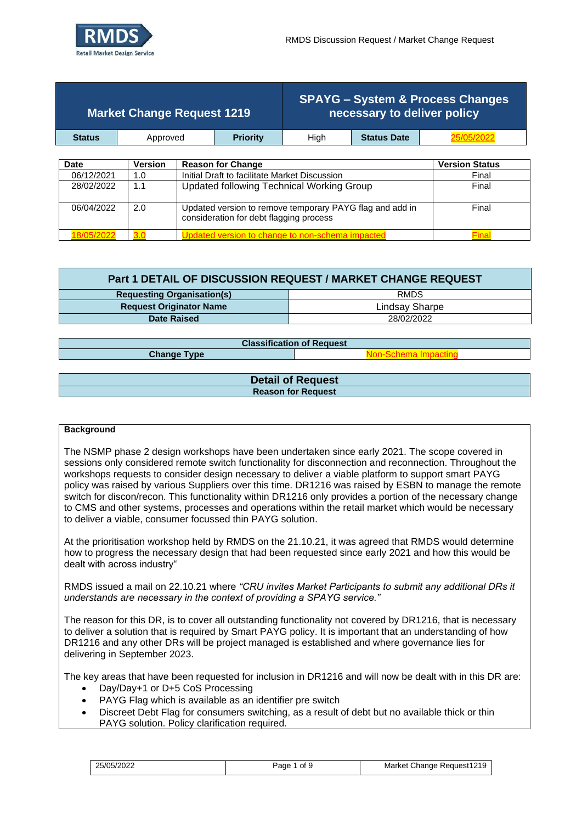

|               | <b>Market Change Request 1219</b> |                                               |      | necessary to deliver policy | <b>SPAYG - System &amp; Process Changes</b> |
|---------------|-----------------------------------|-----------------------------------------------|------|-----------------------------|---------------------------------------------|
| <b>Status</b> | Approved                          | <b>Priority</b>                               | Hiah | <b>Status Date</b>          |                                             |
|               |                                   |                                               |      |                             |                                             |
| Date          | <b>Version</b>                    | <b>Reason for Change</b>                      |      |                             | <b>Version Status</b>                       |
| 06/12/2021    | 1.0                               | Initial Draft to facilitate Market Discussion |      |                             | Final                                       |
|               |                                   |                                               |      |                             |                                             |

| <u>UUI LILUL I</u> | .   | <u>Milliar Drait to racilitato Maritot Discussion </u>                                              | .     |
|--------------------|-----|-----------------------------------------------------------------------------------------------------|-------|
| 28/02/2022         | 1.1 | Updated following Technical Working Group                                                           | Final |
| 06/04/2022         | 2.0 | Updated version to remove temporary PAYG flag and add in<br>consideration for debt flagging process | Final |
|                    |     | odated version to change to non-schema impacte                                                      |       |

| Part 1 DETAIL OF DISCUSSION REQUEST / MARKET CHANGE REQUEST |                |  |  |  |  |
|-------------------------------------------------------------|----------------|--|--|--|--|
| RMDS<br><b>Requesting Organisation(s)</b>                   |                |  |  |  |  |
| <b>Request Originator Name</b>                              | Lindsay Sharpe |  |  |  |  |
| Date Raised                                                 | 28/02/2022     |  |  |  |  |

| <b>Classification of Request</b> |                              |  |  |  |  |  |
|----------------------------------|------------------------------|--|--|--|--|--|
| <b>Change Type</b>               | <u> Jon-Schema Imnacting</u> |  |  |  |  |  |
|                                  |                              |  |  |  |  |  |
|                                  | <b>Detail of Request</b>     |  |  |  |  |  |
|                                  | <b>Reason for Request</b>    |  |  |  |  |  |

#### **Background**

The NSMP phase 2 design workshops have been undertaken since early 2021. The scope covered in sessions only considered remote switch functionality for disconnection and reconnection. Throughout the workshops requests to consider design necessary to deliver a viable platform to support smart PAYG policy was raised by various Suppliers over this time. DR1216 was raised by ESBN to manage the remote switch for discon/recon. This functionality within DR1216 only provides a portion of the necessary change to CMS and other systems, processes and operations within the retail market which would be necessary to deliver a viable, consumer focussed thin PAYG solution.

At the prioritisation workshop held by RMDS on the 21.10.21, it was agreed that RMDS would determine how to progress the necessary design that had been requested since early 2021 and how this would be dealt with across industry"

RMDS issued a mail on 22.10.21 where *"CRU invites Market Participants to submit any additional DRs it understands are necessary in the context of providing a SPAYG service."*

The reason for this DR, is to cover all outstanding functionality not covered by DR1216, that is necessary to deliver a solution that is required by Smart PAYG policy. It is important that an understanding of how DR1216 and any other DRs will be project managed is established and where governance lies for delivering in September 2023.

The key areas that have been requested for inclusion in DR1216 and will now be dealt with in this DR are:

- Day/Day+1 or D+5 CoS Processing
- PAYG Flag which is available as an identifier pre switch
- Discreet Debt Flag for consumers switching, as a result of debt but no available thick or thin PAYG solution. Policy clarification required.

| 25/05/2022 | of 9<br>Page | Request1219<br>Market<br>Change |
|------------|--------------|---------------------------------|
|------------|--------------|---------------------------------|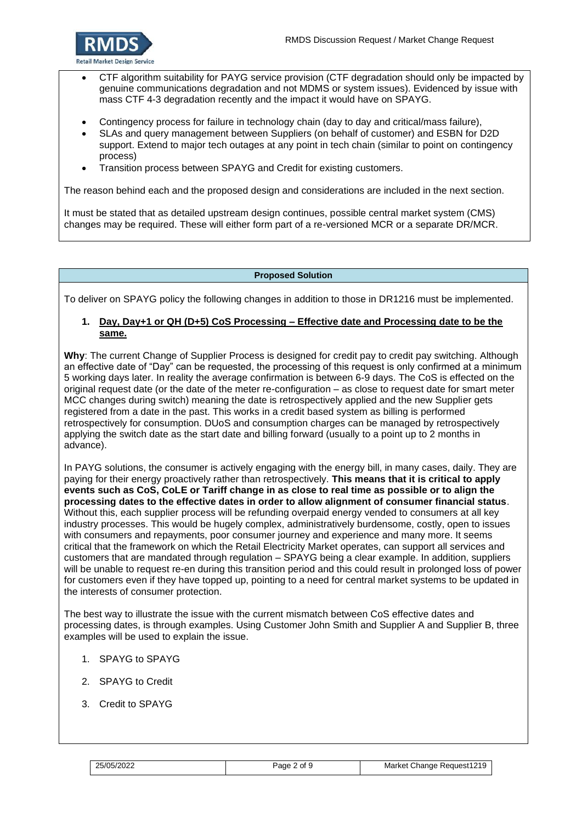

- CTF algorithm suitability for PAYG service provision (CTF degradation should only be impacted by genuine communications degradation and not MDMS or system issues). Evidenced by issue with mass CTF 4-3 degradation recently and the impact it would have on SPAYG.
- Contingency process for failure in technology chain (day to day and critical/mass failure),
- SLAs and query management between Suppliers (on behalf of customer) and ESBN for D2D support. Extend to major tech outages at any point in tech chain (similar to point on contingency process)
- Transition process between SPAYG and Credit for existing customers.

The reason behind each and the proposed design and considerations are included in the next section.

It must be stated that as detailed upstream design continues, possible central market system (CMS) changes may be required. These will either form part of a re-versioned MCR or a separate DR/MCR.

### **Proposed Solution**

To deliver on SPAYG policy the following changes in addition to those in DR1216 must be implemented.

### **1. Day, Day+1 or QH (D+5) CoS Processing – Effective date and Processing date to be the same.**

**Why**: The current Change of Supplier Process is designed for credit pay to credit pay switching. Although an effective date of "Day" can be requested, the processing of this request is only confirmed at a minimum 5 working days later. In reality the average confirmation is between 6-9 days. The CoS is effected on the original request date (or the date of the meter re-configuration – as close to request date for smart meter MCC changes during switch) meaning the date is retrospectively applied and the new Supplier gets registered from a date in the past. This works in a credit based system as billing is performed retrospectively for consumption. DUoS and consumption charges can be managed by retrospectively applying the switch date as the start date and billing forward (usually to a point up to 2 months in advance).

In PAYG solutions, the consumer is actively engaging with the energy bill, in many cases, daily. They are paying for their energy proactively rather than retrospectively. **This means that it is critical to apply events such as CoS, CoLE or Tariff change in as close to real time as possible or to align the processing dates to the effective dates in order to allow alignment of consumer financial status**. Without this, each supplier process will be refunding overpaid energy vended to consumers at all key industry processes. This would be hugely complex, administratively burdensome, costly, open to issues with consumers and repayments, poor consumer journey and experience and many more. It seems critical that the framework on which the Retail Electricity Market operates, can support all services and customers that are mandated through regulation – SPAYG being a clear example. In addition, suppliers will be unable to request re-en during this transition period and this could result in prolonged loss of power for customers even if they have topped up, pointing to a need for central market systems to be updated in the interests of consumer protection.

The best way to illustrate the issue with the current mismatch between CoS effective dates and processing dates, is through examples. Using Customer John Smith and Supplier A and Supplier B, three examples will be used to explain the issue.

- 1. SPAYG to SPAYG
- 2. SPAYG to Credit
- 3. Credit to SPAYG

| 25/05/2022 |
|------------|
|------------|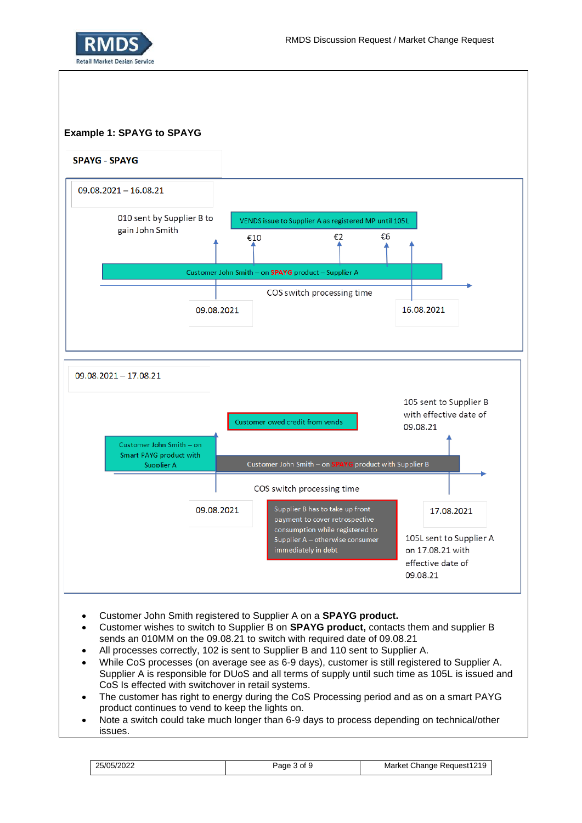



- Customer John Smith registered to Supplier A on a **SPAYG product.**
- Customer wishes to switch to Supplier B on **SPAYG product,** contacts them and supplier B sends an 010MM on the 09.08.21 to switch with required date of 09.08.21
- All processes correctly, 102 is sent to Supplier B and 110 sent to Supplier A.
- While CoS processes (on average see as 6-9 days), customer is still registered to Supplier A. Supplier A is responsible for DUoS and all terms of supply until such time as 105L is issued and CoS Is effected with switchover in retail systems.
- The customer has right to energy during the CoS Processing period and as on a smart PAYG product continues to vend to keep the lights on.
- Note a switch could take much longer than 6-9 days to process depending on technical/other issues.

| 25/05/2022 | 0t<br>Page | Request1219<br>Market<br>' hange۔ |
|------------|------------|-----------------------------------|
|------------|------------|-----------------------------------|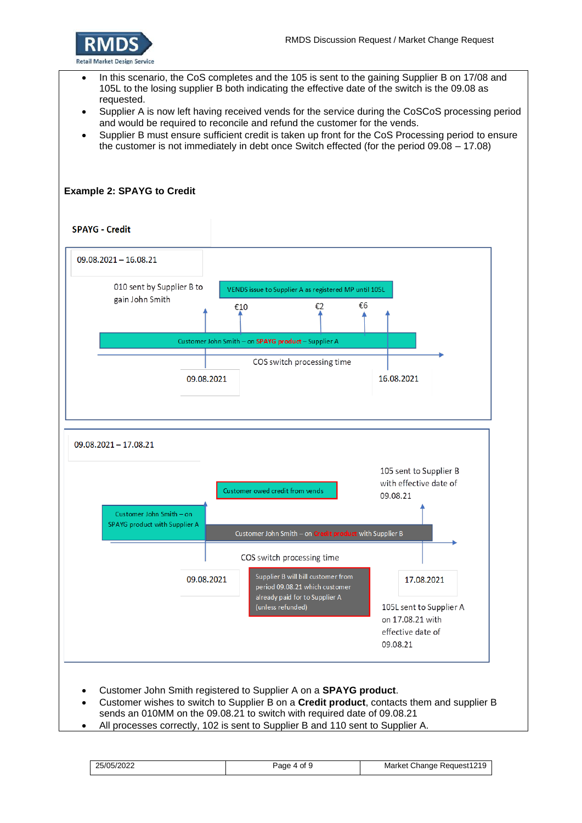

- In this scenario, the CoS completes and the 105 is sent to the gaining Supplier B on 17/08 and 105L to the losing supplier B both indicating the effective date of the switch is the 09.08 as requested.
- Supplier A is now left having received vends for the service during the CoSCoS processing period and would be required to reconcile and refund the customer for the vends.
- Supplier B must ensure sufficient credit is taken up front for the CoS Processing period to ensure the customer is not immediately in debt once Switch effected (for the period 09.08 – 17.08)

## **Example 2: SPAYG to Credit**

#### **SPAYG - Credit**



- Customer wishes to switch to Supplier B on a **Credit product**, contacts them and supplier B sends an 010MM on the 09.08.21 to switch with required date of 09.08.21
- All processes correctly, 102 is sent to Supplier B and 110 sent to Supplier A.

25/05/2022 Page 4 of 9 Market Change Request1219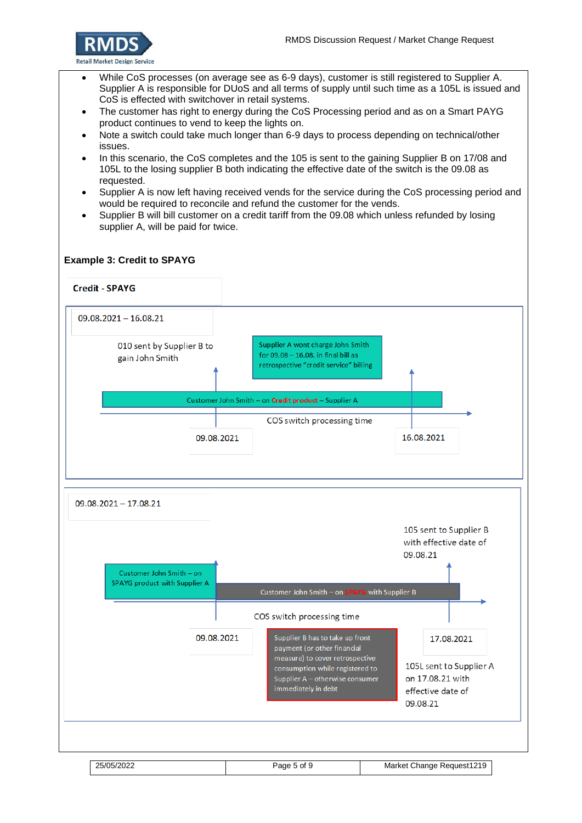

- While CoS processes (on average see as 6-9 days), customer is still registered to Supplier A. Supplier A is responsible for DUoS and all terms of supply until such time as a 105L is issued and CoS is effected with switchover in retail systems.
- The customer has right to energy during the CoS Processing period and as on a Smart PAYG product continues to vend to keep the lights on.
- Note a switch could take much longer than 6-9 days to process depending on technical/other issues.
- In this scenario, the CoS completes and the 105 is sent to the gaining Supplier B on 17/08 and 105L to the losing supplier B both indicating the effective date of the switch is the 09.08 as requested.
- Supplier A is now left having received vends for the service during the CoS processing period and would be required to reconcile and refund the customer for the vends.
- Supplier B will bill customer on a credit tariff from the 09.08 which unless refunded by losing supplier A, will be paid for twice.

### **Example 3: Credit to SPAYG**

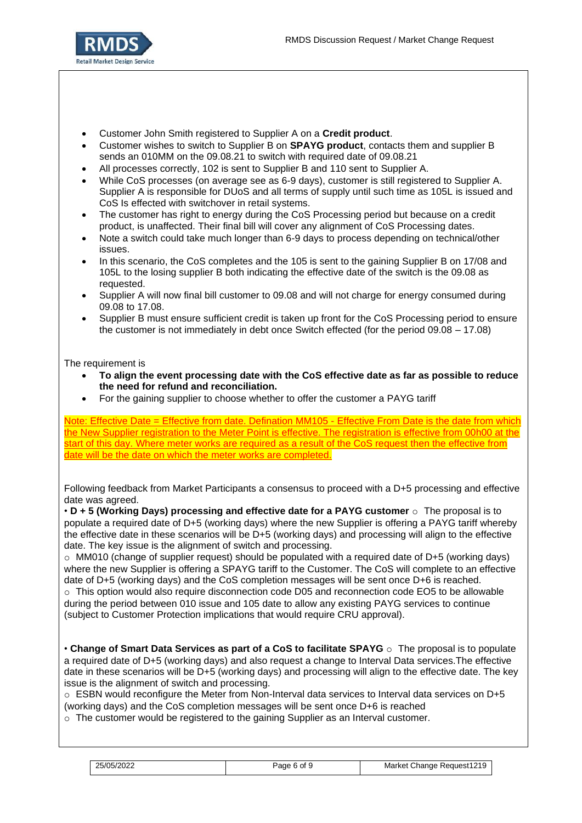

- Customer John Smith registered to Supplier A on a **Credit product**.
- Customer wishes to switch to Supplier B on **SPAYG product**, contacts them and supplier B sends an 010MM on the 09.08.21 to switch with required date of 09.08.21
- All processes correctly, 102 is sent to Supplier B and 110 sent to Supplier A.
- While CoS processes (on average see as 6-9 days), customer is still registered to Supplier A. Supplier A is responsible for DUoS and all terms of supply until such time as 105L is issued and CoS Is effected with switchover in retail systems.
- The customer has right to energy during the CoS Processing period but because on a credit product, is unaffected. Their final bill will cover any alignment of CoS Processing dates.
- Note a switch could take much longer than 6-9 days to process depending on technical/other issues.
- In this scenario, the CoS completes and the 105 is sent to the gaining Supplier B on 17/08 and 105L to the losing supplier B both indicating the effective date of the switch is the 09.08 as requested.
- Supplier A will now final bill customer to 09.08 and will not charge for energy consumed during 09.08 to 17.08.
- Supplier B must ensure sufficient credit is taken up front for the CoS Processing period to ensure the customer is not immediately in debt once Switch effected (for the period 09.08 – 17.08)

### The requirement is

- **To align the event processing date with the CoS effective date as far as possible to reduce the need for refund and reconciliation.**
- For the gaining supplier to choose whether to offer the customer a PAYG tariff

Note: Effective Date = Effective from date. Defination MM105 - Effective From Date is the date from which the New Supplier registration to the Meter Point is effective. The registration is effective from 00h00 at the start of this day. Where meter works are required as a result of the CoS request then the effective from date will be the date on which the meter works are completed.

| Following feedback from Market Participants a consensus to proceed with a D+5 processing and effective |  |  |  |
|--------------------------------------------------------------------------------------------------------|--|--|--|
| date was agreed.                                                                                       |  |  |  |

• **D + 5 (Working Days) processing and effective date for a PAYG customer** o The proposal is to populate a required date of D+5 (working days) where the new Supplier is offering a PAYG tariff whereby the effective date in these scenarios will be D+5 (working days) and processing will align to the effective date. The key issue is the alignment of switch and processing.

 $\circ$  MM010 (change of supplier request) should be populated with a required date of D+5 (working days) where the new Supplier is offering a SPAYG tariff to the Customer. The CoS will complete to an effective date of D+5 (working days) and the CoS completion messages will be sent once D+6 is reached. o This option would also require disconnection code D05 and reconnection code EO5 to be allowable during the period between 010 issue and 105 date to allow any existing PAYG services to continue (subject to Customer Protection implications that would require CRU approval).

• **Change of Smart Data Services as part of a CoS to facilitate SPAYG** o The proposal is to populate a required date of D+5 (working days) and also request a change to Interval Data services.The effective date in these scenarios will be D+5 (working days) and processing will align to the effective date. The key issue is the alignment of switch and processing.

o ESBN would reconfigure the Meter from Non-Interval data services to Interval data services on D+5 (working days) and the CoS completion messages will be sent once D+6 is reached

 $\circ$  The customer would be registered to the gaining Supplier as an Interval customer.

| 25/05/2022 | 6 of<br>Page | Request1219<br>Market Change |
|------------|--------------|------------------------------|
|------------|--------------|------------------------------|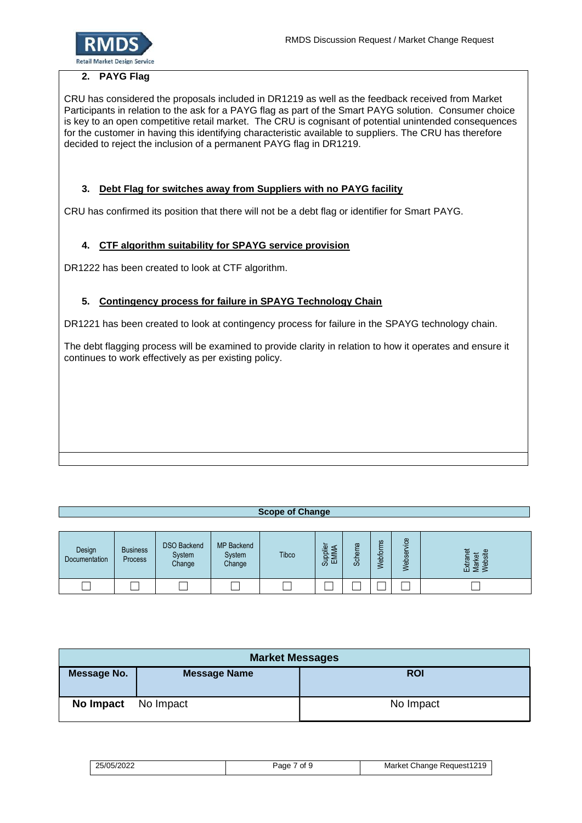

# **2. PAYG Flag**

CRU has considered the proposals included in DR1219 as well as the feedback received from Market Participants in relation to the ask for a PAYG flag as part of the Smart PAYG solution. Consumer choice is key to an open competitive retail market. The CRU is cognisant of potential unintended consequences for the customer in having this identifying characteristic available to suppliers. The CRU has therefore decided to reject the inclusion of a permanent PAYG flag in DR1219.

# **3. Debt Flag for switches away from Suppliers with no PAYG facility**

CRU has confirmed its position that there will not be a debt flag or identifier for Smart PAYG.

# **4. CTF algorithm suitability for SPAYG service provision**

DR1222 has been created to look at CTF algorithm.

# **5. Contingency process for failure in SPAYG Technology Chain**

DR1221 has been created to look at contingency process for failure in the SPAYG technology chain.

The debt flagging process will be examined to provide clarity in relation to how it operates and ensure it continues to work effectively as per existing policy.

# **Scope of Change**

| Design<br>Documentation | <b>Business</b><br>Process | <b>DSO Backend</b><br>System<br>Change | <b>MP</b> Backend<br>System<br>Change | <b>Tibco</b> | $\overline{\omega}$<br>ಪ | ത<br>æ<br>ద్ద | ဖာ<br>ebfo | $\omega$<br>O<br>÷<br>$\overline{\Phi}$<br>ဖာ<br>$\frac{1}{6}$<br>≲ | 黃<br>$\sigma$<br>o<br>Ωļ<br>친호<br>지역<br>이후<br>$\overline{\mathbf{v}}$ |
|-------------------------|----------------------------|----------------------------------------|---------------------------------------|--------------|--------------------------|---------------|------------|---------------------------------------------------------------------|-----------------------------------------------------------------------|
|                         |                            |                                        |                                       |              |                          |               |            |                                                                     |                                                                       |

| <b>Market Messages</b> |                     |            |  |  |  |
|------------------------|---------------------|------------|--|--|--|
| Message No.            | <b>Message Name</b> | <b>ROI</b> |  |  |  |
| <b>No Impact</b>       | No Impact           | No Impact  |  |  |  |

| 25/05/2022 | 7 of S<br>Paɑe | Market Change Request1219 |
|------------|----------------|---------------------------|
|------------|----------------|---------------------------|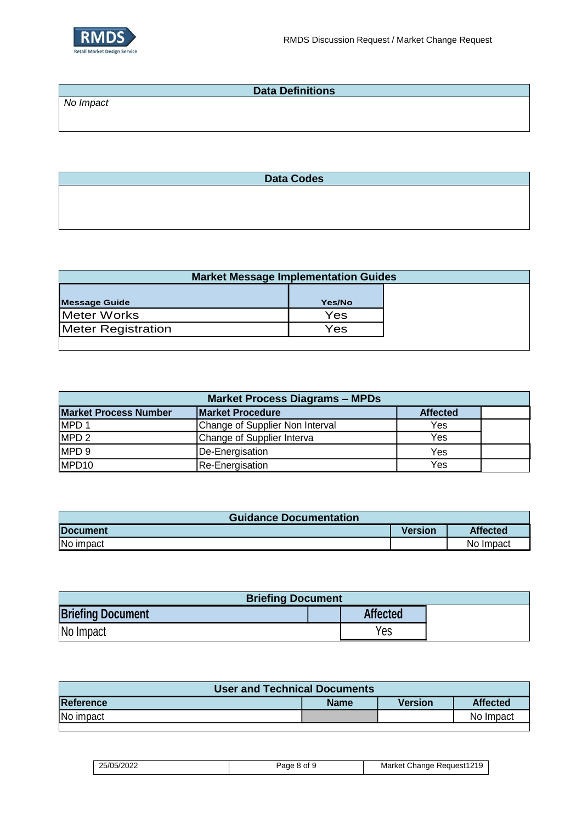

| <b>Data Definitions</b> |  |  |
|-------------------------|--|--|
| No Impact               |  |  |
|                         |  |  |
|                         |  |  |

**Data Codes**

| <b>Market Message Implementation Guides</b> |        |  |
|---------------------------------------------|--------|--|
| <b>Message Guide</b>                        | Yes/No |  |
| Meter Works                                 | Yes    |  |
| Meter Registration                          | Yes    |  |

| <b>Market Process Diagrams - MPDs</b> |                                 |                 |  |
|---------------------------------------|---------------------------------|-----------------|--|
| <b>Market Process Number</b>          | <b>Market Procedure</b>         | <b>Affected</b> |  |
| MPD <sub>1</sub>                      | Change of Supplier Non Interval | Yes             |  |
| MPD <sub>2</sub>                      | Change of Supplier Interva      | Yes             |  |
| MPD <sub>9</sub>                      | De-Energisation                 | Yes             |  |
| MPD <sub>10</sub>                     | <b>Re-Energisation</b>          | Yes             |  |

| <b>Guidance Documentation</b> |                |                 |
|-------------------------------|----------------|-----------------|
| <b>Document</b>               | <b>Version</b> | <b>Affected</b> |
| No impact                     |                | No Impact       |

| <b>Briefing Document</b> |  |                 |  |
|--------------------------|--|-----------------|--|
| <b>Briefing Document</b> |  | <b>Affected</b> |  |
| No Impact                |  | Yes             |  |

| <b>User and Technical Documents</b> |             |                |                 |  |
|-------------------------------------|-------------|----------------|-----------------|--|
| Reference                           | <b>Name</b> | <b>Version</b> | <b>Affected</b> |  |
| No impact                           |             |                | No Impact       |  |
|                                     |             |                |                 |  |

| 25/05/2022 | , ot ⊆<br>Paqe | Change Request1219<br>Market |
|------------|----------------|------------------------------|
|------------|----------------|------------------------------|